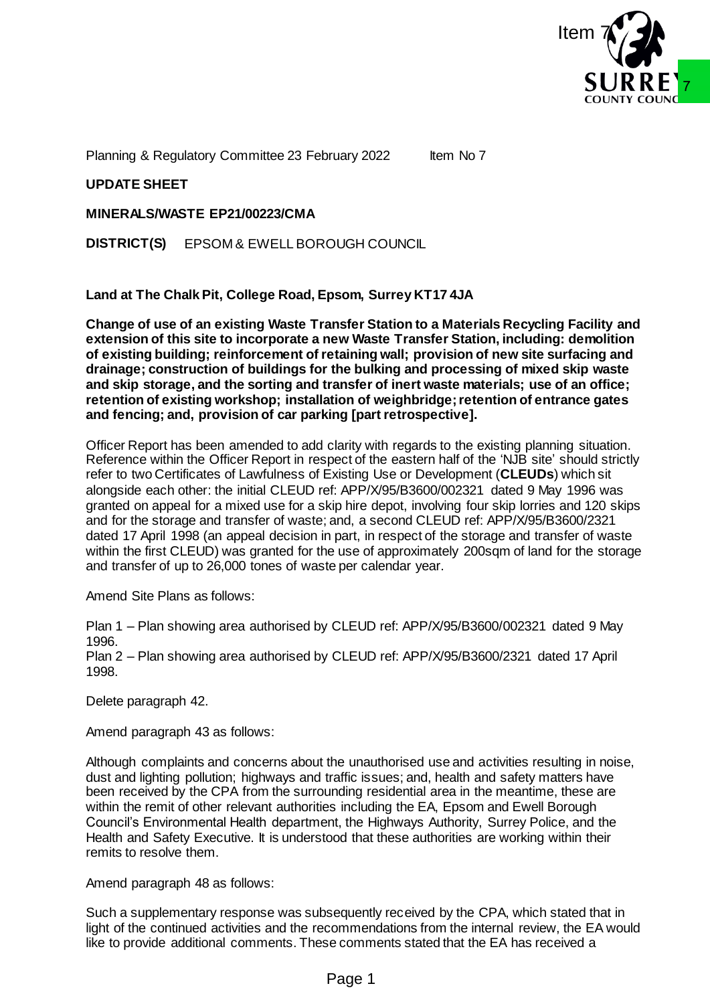

Planning & Regulatory Committee 23 February 2022 Item No 7

### **UPDATE SHEET**

**MINERALS/WASTE EP21/00223/CMA**

**DISTRICT(S)** EPSOM & EWELL BOROUGH COUNCIL

**Land at The Chalk Pit, College Road, Epsom, Surrey KT17 4JA**

**Change of use of an existing Waste Transfer Station to a Materials Recycling Facility and extension of this site to incorporate a new Waste Transfer Station, including: demolition of existing building; reinforcement of retaining wall; provision of new site surfacing and drainage; construction of buildings for the bulking and processing of mixed skip waste and skip storage, and the sorting and transfer of inert waste materials; use of an office; retention of existing workshop; installation of weighbridge; retention of entrance gates and fencing; and, provision of car parking [part retrospective].**

Officer Report has been amended to add clarity with regards to the existing planning situation. Reference within the Officer Report in respect of the eastern half of the 'NJB site' should strictly refer to two Certificates of Lawfulness of Existing Use or Development (**CLEUDs**) which sit alongside each other: the initial CLEUD ref: APP/X/95/B3600/002321 dated 9 May 1996 was granted on appeal for a mixed use for a skip hire depot, involving four skip lorries and 120 skips and for the storage and transfer of waste; and, a second CLEUD ref: APP/X/95/B3600/2321 dated 17 April 1998 (an appeal decision in part, in respect of the storage and transfer of waste within the first CLEUD) was granted for the use of approximately 200sqm of land for the storage and transfer of up to 26,000 tones of waste per calendar year. **SOURN COUNCILE TO THE THE SET THAN A SUBARATE THE SET THAN A SUBARATE THE SET THE SET THAN A SUBARATE SPECIES THE SET THE SET THE SET THE SET THE SET THE SET THE SET THE SET THE SET THE SET THE SET THE SET THE SET THE SET** 

Amend Site Plans as follows:

Plan 1 – Plan showing area authorised by CLEUD ref: APP/X/95/B3600/002321 dated 9 May 1996.

Plan 2 – Plan showing area authorised by CLEUD ref: APP/X/95/B3600/2321 dated 17 April 1998.

Delete paragraph 42.

Amend paragraph 43 as follows:

Although complaints and concerns about the unauthorised use and activities resulting in noise, dust and lighting pollution; highways and traffic issues; and, health and safety matters have been received by the CPA from the surrounding residential area in the meantime, these are within the remit of other relevant authorities including the EA, Epsom and Ewell Borough Council's Environmental Health department, the Highways Authority, Surrey Police, and the Health and Safety Executive. It is understood that these authorities are working within their remits to resolve them.

Amend paragraph 48 as follows:

Such a supplementary response was subsequently received by the CPA, which stated that in light of the continued activities and the recommendations from the internal review, the EA would like to provide additional comments. These comments stated that the EA has received a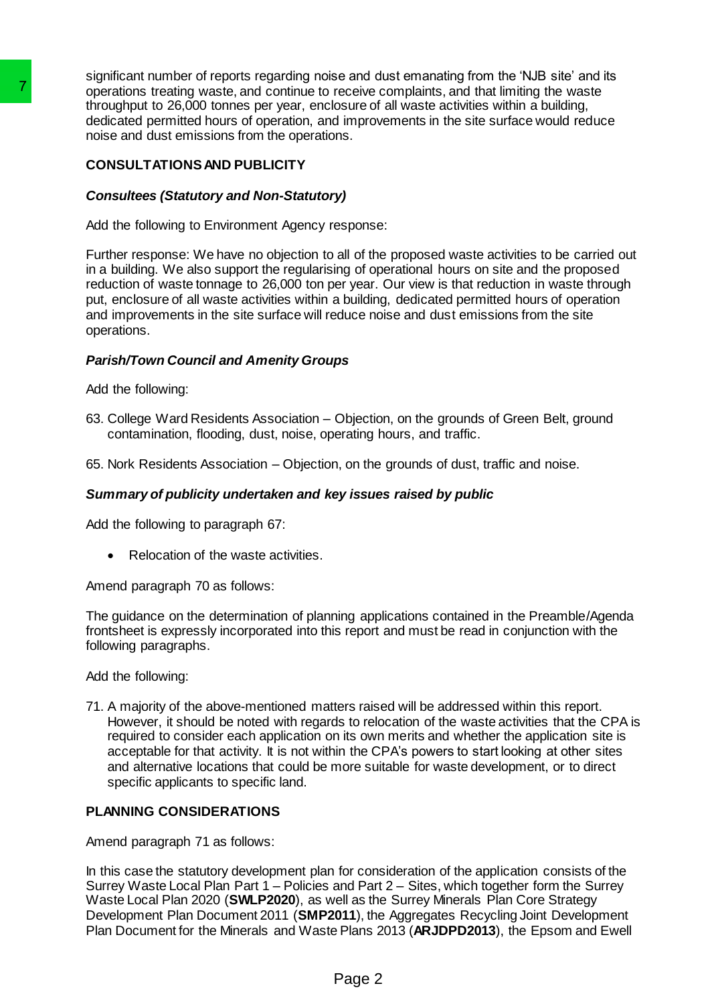significant number of reports regarding noise and dust emanating from the 'NJB site' and its operations treating waste, and continue to receive complaints, and that limiting the waste throughput to 26,000 tonnes per year, enclosure of all waste activities within a building, dedicated permitted hours of operation, and improvements in the site surface would reduce noise and dust emissions from the operations.

# **CONSULTATIONS AND PUBLICITY**

# *Consultees (Statutory and Non-Statutory)*

Add the following to Environment Agency response:

Further response: We have no objection to all of the proposed waste activities to be carried out in a building. We also support the regularising of operational hours on site and the proposed reduction of waste tonnage to 26,000 ton per year. Our view is that reduction in waste through put, enclosure of all waste activities within a building, dedicated permitted hours of operation and improvements in the site surface will reduce noise and dust emissions from the site operations. Translated permitted house and continuit to receive decirated permitted house of the diversion streament of the diversion and improvements of the model of the model of the model of the model of the model of the model of th

# *Parish/Town Council and Amenity Groups*

Add the following:

63. College Ward Residents Association – Objection, on the grounds of Green Belt, ground contamination, flooding, dust, noise, operating hours, and traffic.

65. Nork Residents Association – Objection, on the grounds of dust, traffic and noise.

# *Summary of publicity undertaken and key issues raised by public*

Add the following to paragraph 67:

Relocation of the waste activities.

Amend paragraph 70 as follows:

The guidance on the determination of planning applications contained in the Preamble/Agenda frontsheet is expressly incorporated into this report and must be read in conjunction with the following paragraphs.

Add the following:

71. A majority of the above-mentioned matters raised will be addressed within this report. However, it should be noted with regards to relocation of the waste activities that the CPA is required to consider each application on its own merits and whether the application site is acceptable for that activity. It is not within the CPA's powers to start looking at other sites and alternative locations that could be more suitable for waste development, or to direct specific applicants to specific land.

# **PLANNING CONSIDERATIONS**

Amend paragraph 71 as follows:

In this case the statutory development plan for consideration of the application consists of the Surrey Waste Local Plan Part 1 – Policies and Part 2 – Sites, which together form the Surrey Waste Local Plan 2020 (**SWLP2020**), as well as the Surrey Minerals Plan Core Strategy Development Plan Document 2011 (**SMP2011**), the Aggregates Recycling Joint Development Plan Document for the Minerals and Waste Plans 2013 (**ARJDPD2013**), the Epsom and Ewell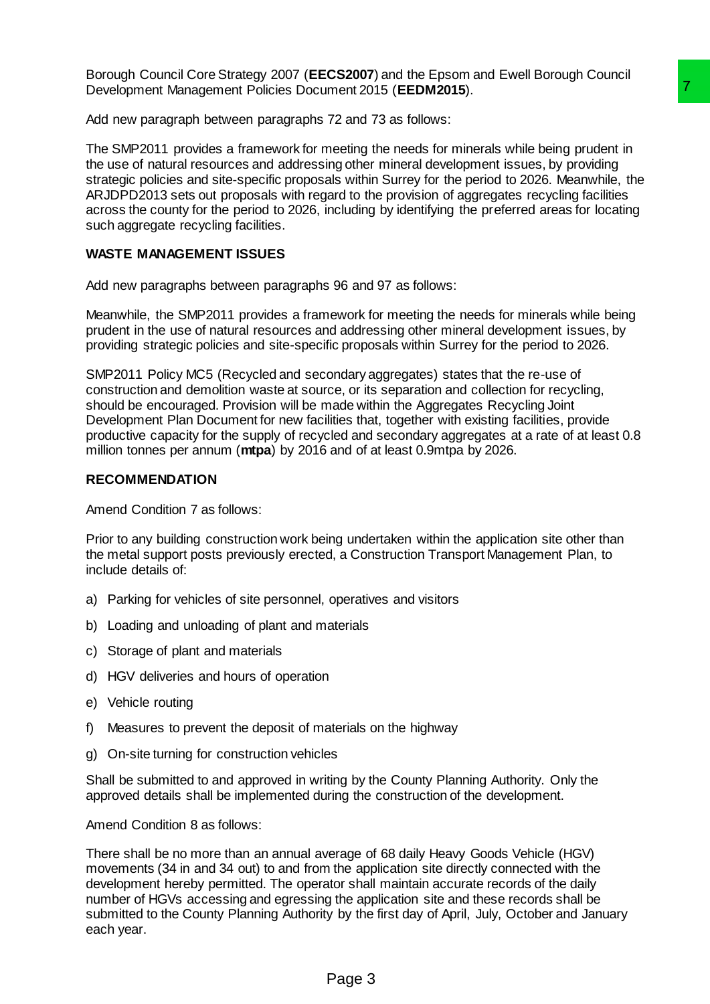Borough Council Core Strategy 2007 (**EECS2007**) and the Epsom and Ewell Borough Council Development Management Policies Document 2015 (**EEDM2015**).

Add new paragraph between paragraphs 72 and 73 as follows:

The SMP2011 provides a framework for meeting the needs for minerals while being prudent in the use of natural resources and addressing other mineral development issues, by providing strategic policies and site-specific proposals within Surrey for the period to 2026. Meanwhile, the ARJDPD2013 sets out proposals with regard to the provision of aggregates recycling facilities across the county for the period to 2026, including by identifying the preferred areas for locating such aggregate recycling facilities. ment 2015 (**EEDM2015**).<br>
The meatrical of solicity and a state of the meats while being prudent in<br>
ang other mineral development issues, by providing<br>
als within Surrey for the period to 2026. Meanwhile, the<br>
als with Sur

### **WASTE MANAGEMENT ISSUES**

Add new paragraphs between paragraphs 96 and 97 as follows:

Meanwhile, the SMP2011 provides a framework for meeting the needs for minerals while being prudent in the use of natural resources and addressing other mineral development issues, by providing strategic policies and site-specific proposals within Surrey for the period to 2026.

SMP2011 Policy MC5 (Recycled and secondary aggregates) states that the re-use of construction and demolition waste at source, or its separation and collection for recycling, should be encouraged. Provision will be made within the Aggregates Recycling Joint Development Plan Document for new facilities that, together with existing facilities, provide productive capacity for the supply of recycled and secondary aggregates at a rate of at least 0.8 million tonnes per annum (**mtpa**) by 2016 and of at least 0.9mtpa by 2026.

### **RECOMMENDATION**

Amend Condition 7 as follows:

Prior to any building construction work being undertaken within the application site other than the metal support posts previously erected, a Construction Transport Management Plan, to include details of:

- a) Parking for vehicles of site personnel, operatives and visitors
- b) Loading and unloading of plant and materials
- c) Storage of plant and materials
- d) HGV deliveries and hours of operation
- e) Vehicle routing
- f) Measures to prevent the deposit of materials on the highway
- g) On-site turning for construction vehicles

Shall be submitted to and approved in writing by the County Planning Authority. Only the approved details shall be implemented during the construction of the development.

Amend Condition 8 as follows:

There shall be no more than an annual average of 68 daily Heavy Goods Vehicle (HGV) movements (34 in and 34 out) to and from the application site directly connected with the development hereby permitted. The operator shall maintain accurate records of the daily number of HGVs accessing and egressing the application site and these records shall be submitted to the County Planning Authority by the first day of April, July, October and January each year.